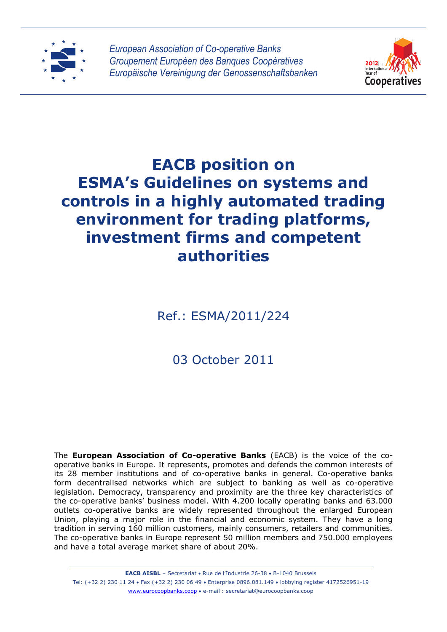



# **EACB position on ESMA's Guidelines on systems and controls in a highly automated trading environment for trading platforms, investment firms and competent authorities**

Ref.: ESMA/2011/224

03 October 2011

The **European Association of Co-operative Banks** (EACB) is the voice of the cooperative banks in Europe. It represents, promotes and defends the common interests of its 28 member institutions and of co-operative banks in general. Co-operative banks form decentralised networks which are subject to banking as well as co-operative legislation. Democracy, transparency and proximity are the three key characteristics of the co-operative banks' business model. With 4.200 locally operating banks and 63.000 outlets co-operative banks are widely represented throughout the enlarged European Union, playing a major role in the financial and economic system. They have a long tradition in serving 160 million customers, mainly consumers, retailers and communities. The co-operative banks in Europe represent 50 million members and 750.000 employees and have a total average market share of about 20%.

**EACB AISBL** – Secretariat • Rue de l'Industrie 26-38 • B-1040 Brussels Tel: (+32 2) 230 11 24 Fax (+32 2) 230 06 49 Enterprise 0896.081.149 lobbying register 4172526951-19 www.eurocoopbanks.coop e-mail : secretariat@eurocoopbanks.coop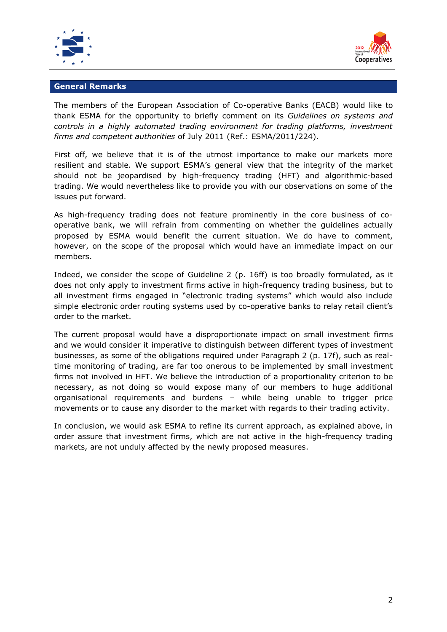



#### **General Remarks**

The members of the European Association of Co-operative Banks (EACB) would like to thank ESMA for the opportunity to briefly comment on its *Guidelines on systems and controls in a highly automated trading environment for trading platforms, investment firms and competent authorities* of July 2011 (Ref.: ESMA/2011/224).

First off, we believe that it is of the utmost importance to make our markets more resilient and stable. We support ESMA's general view that the integrity of the market should not be jeopardised by high-frequency trading (HFT) and algorithmic-based trading. We would nevertheless like to provide you with our observations on some of the issues put forward.

As high-frequency trading does not feature prominently in the core business of cooperative bank, we will refrain from commenting on whether the guidelines actually proposed by ESMA would benefit the current situation. We do have to comment, however, on the scope of the proposal which would have an immediate impact on our members.

Indeed, we consider the scope of Guideline 2 (p. 16ff) is too broadly formulated, as it does not only apply to investment firms active in high-frequency trading business, but to all investment firms engaged in "electronic trading systems" which would also include simple electronic order routing systems used by co-operative banks to relay retail client's order to the market.

The current proposal would have a disproportionate impact on small investment firms and we would consider it imperative to distinguish between different types of investment businesses, as some of the obligations required under Paragraph 2 (p. 17f), such as realtime monitoring of trading, are far too onerous to be implemented by small investment firms not involved in HFT. We believe the introduction of a proportionality criterion to be necessary, as not doing so would expose many of our members to huge additional organisational requirements and burdens – while being unable to trigger price movements or to cause any disorder to the market with regards to their trading activity.

In conclusion, we would ask ESMA to refine its current approach, as explained above, in order assure that investment firms, which are not active in the high-frequency trading markets, are not unduly affected by the newly proposed measures.